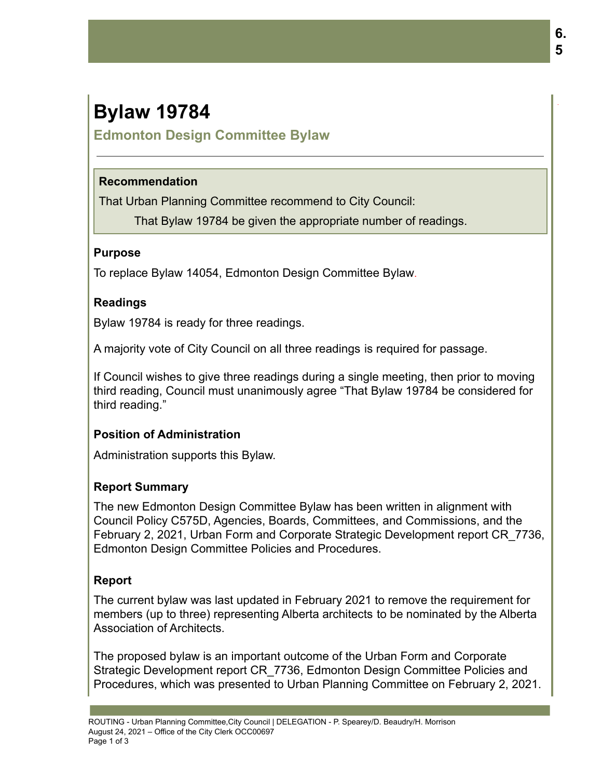# **Bylaw 19784**

## **Edmonton Design Committee Bylaw**

#### **Recommendation**

That Urban Planning Committee recommend to City Council:

That Bylaw 19784 be given the appropriate number of readings.

#### **Purpose**

To replace Bylaw 14054, Edmonton Design Committee Bylaw.

#### **Readings**

Bylaw 19784 is ready for three readings.

A majority vote of City Council on all three readings is required for passage.

If Council wishes to give three readings during a single meeting, then prior to moving third reading, Council must unanimously agree "That Bylaw 19784 be considered for third reading."

## **Position of Administration**

Administration supports this Bylaw.

## **Report Summary**

The new Edmonton Design Committee Bylaw has been written in alignment with Council Policy C575D, Agencies, Boards, Committees, and Commissions, and the February 2, 2021, Urban Form and Corporate Strategic Development report CR\_7736, Edmonton Design Committee Policies and Procedures.

## **Report**

The current bylaw was last updated in February 2021 to remove the requirement for members (up to three) representing Alberta architects to be nominated by the Alberta Association of Architects.

The proposed bylaw is an important outcome of the Urban Form and Corporate Strategic Development report CR\_7736, Edmonton Design Committee Policies and Procedures, which was presented to Urban Planning Committee on February 2, 2021. .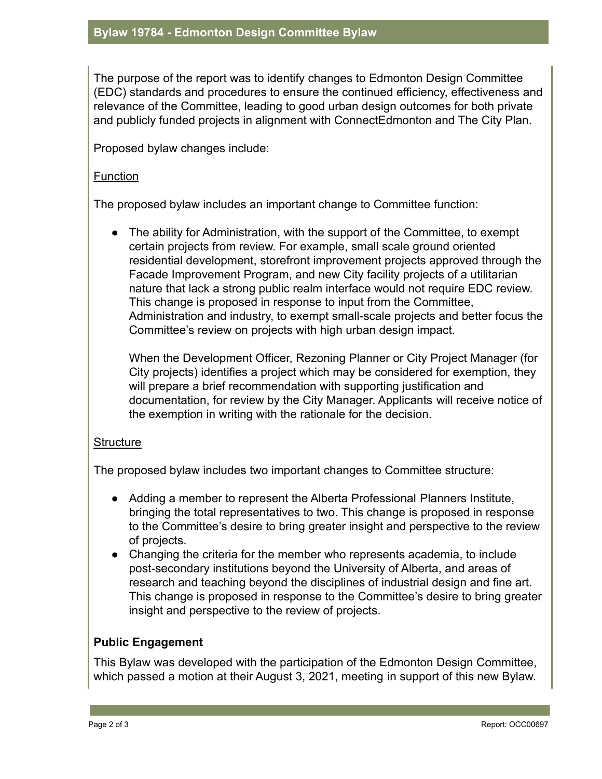The purpose of the report was to identify changes to Edmonton Design Committee (EDC) standards and procedures to ensure the continued efficiency, effectiveness and relevance of the Committee, leading to good urban design outcomes for both private and publicly funded projects in alignment with ConnectEdmonton and The City Plan.

Proposed bylaw changes include:

#### Function

The proposed bylaw includes an important change to Committee function:

• The ability for Administration, with the support of the Committee, to exempt certain projects from review. For example, small scale ground oriented residential development, storefront improvement projects approved through the Facade Improvement Program, and new City facility projects of a utilitarian nature that lack a strong public realm interface would not require EDC review. This change is proposed in response to input from the Committee, Administration and industry, to exempt small-scale projects and better focus the Committee's review on projects with high urban design impact.

When the Development Officer, Rezoning Planner or City Project Manager (for City projects) identifies a project which may be considered for exemption, they will prepare a brief recommendation with supporting justification and documentation, for review by the City Manager. Applicants will receive notice of the exemption in writing with the rationale for the decision.

#### **Structure**

The proposed bylaw includes two important changes to Committee structure:

- Adding a member to represent the Alberta Professional Planners Institute, bringing the total representatives to two. This change is proposed in response to the Committee's desire to bring greater insight and perspective to the review of projects.
- Changing the criteria for the member who represents academia, to include post-secondary institutions beyond the University of Alberta, and areas of research and teaching beyond the disciplines of industrial design and fine art. This change is proposed in response to the Committee's desire to bring greater insight and perspective to the review of projects.

#### **Public Engagement**

This Bylaw was developed with the participation of the Edmonton Design Committee, which passed a motion at their August 3, 2021, meeting in support of this new Bylaw.